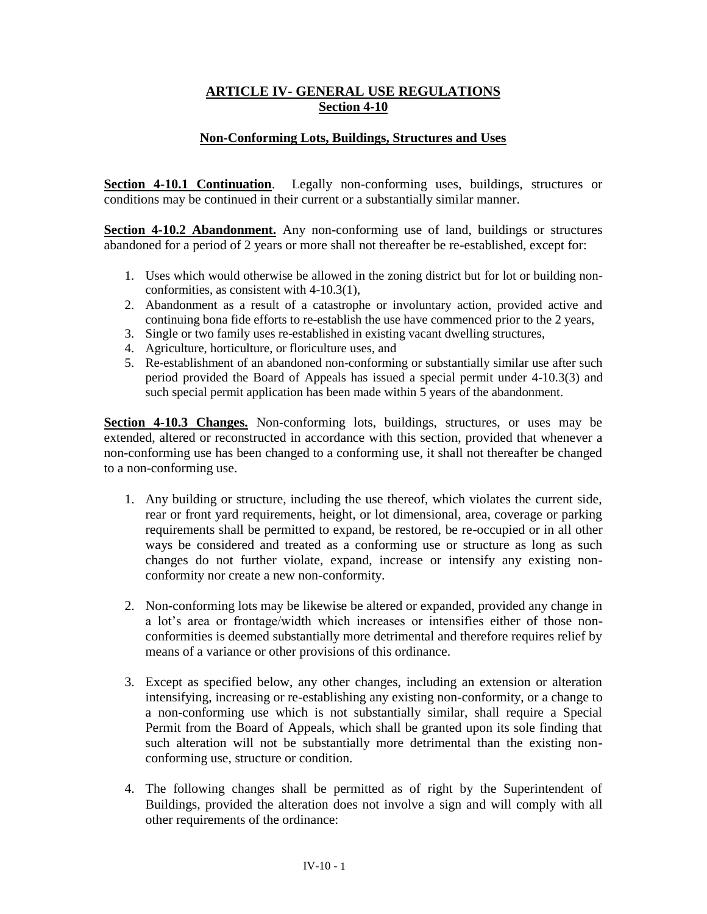## **ARTICLE IV- GENERAL USE REGULATIONS Section 4-10**

## **Non-Conforming Lots, Buildings, Structures and Uses**

**Section 4-10.1 Continuation**. Legally non-conforming uses, buildings, structures or conditions may be continued in their current or a substantially similar manner.

**Section 4-10.2 Abandonment.** Any non-conforming use of land, buildings or structures abandoned for a period of 2 years or more shall not thereafter be re-established, except for:

- 1. Uses which would otherwise be allowed in the zoning district but for lot or building nonconformities, as consistent with 4-10.3(1),
- 2. Abandonment as a result of a catastrophe or involuntary action, provided active and continuing bona fide efforts to re-establish the use have commenced prior to the 2 years,
- 3. Single or two family uses re-established in existing vacant dwelling structures,
- 4. Agriculture, horticulture, or floriculture uses, and
- 5. Re-establishment of an abandoned non-conforming or substantially similar use after such period provided the Board of Appeals has issued a special permit under 4-10.3(3) and such special permit application has been made within 5 years of the abandonment.

**Section 4-10.3 Changes.** Non-conforming lots, buildings, structures, or uses may be extended, altered or reconstructed in accordance with this section, provided that whenever a non-conforming use has been changed to a conforming use, it shall not thereafter be changed to a non-conforming use.

- 1. Any building or structure, including the use thereof, which violates the current side, rear or front yard requirements, height, or lot dimensional, area, coverage or parking requirements shall be permitted to expand, be restored, be re-occupied or in all other ways be considered and treated as a conforming use or structure as long as such changes do not further violate, expand, increase or intensify any existing nonconformity nor create a new non-conformity.
- 2. Non-conforming lots may be likewise be altered or expanded, provided any change in a lot's area or frontage/width which increases or intensifies either of those nonconformities is deemed substantially more detrimental and therefore requires relief by means of a variance or other provisions of this ordinance.
- 3. Except as specified below, any other changes, including an extension or alteration intensifying, increasing or re-establishing any existing non-conformity, or a change to a non-conforming use which is not substantially similar, shall require a Special Permit from the Board of Appeals, which shall be granted upon its sole finding that such alteration will not be substantially more detrimental than the existing nonconforming use, structure or condition.
- 4. The following changes shall be permitted as of right by the Superintendent of Buildings, provided the alteration does not involve a sign and will comply with all other requirements of the ordinance: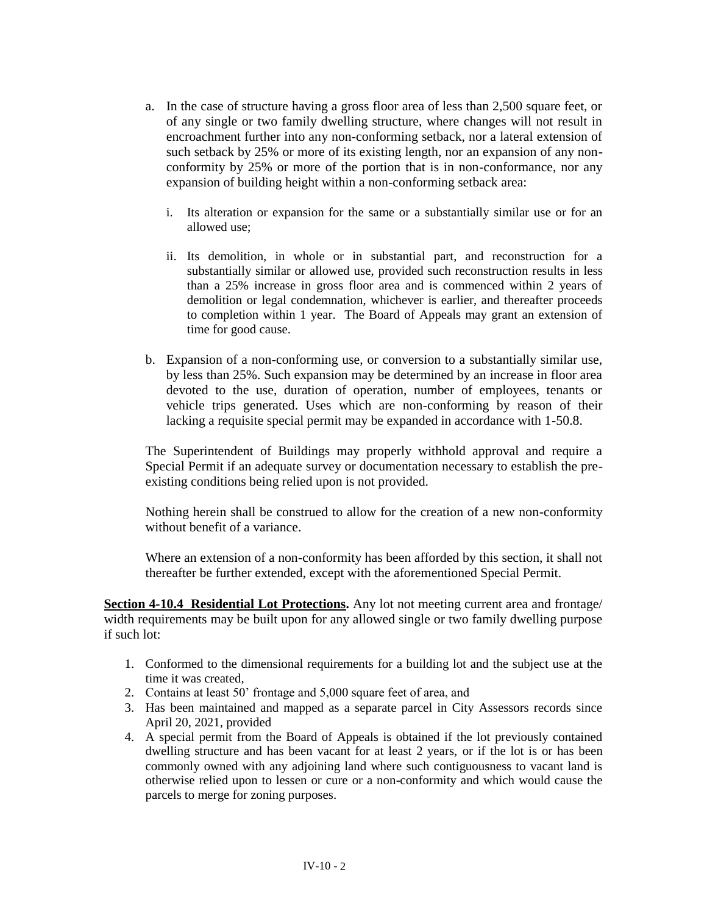- a. In the case of structure having a gross floor area of less than 2,500 square feet, or of any single or two family dwelling structure, where changes will not result in encroachment further into any non-conforming setback, nor a lateral extension of such setback by 25% or more of its existing length, nor an expansion of any nonconformity by 25% or more of the portion that is in non-conformance, nor any expansion of building height within a non-conforming setback area:
	- i. Its alteration or expansion for the same or a substantially similar use or for an allowed use;
	- ii. Its demolition, in whole or in substantial part, and reconstruction for a substantially similar or allowed use, provided such reconstruction results in less than a 25% increase in gross floor area and is commenced within 2 years of demolition or legal condemnation, whichever is earlier, and thereafter proceeds to completion within 1 year. The Board of Appeals may grant an extension of time for good cause.
- b. Expansion of a non-conforming use, or conversion to a substantially similar use, by less than 25%. Such expansion may be determined by an increase in floor area devoted to the use, duration of operation, number of employees, tenants or vehicle trips generated. Uses which are non-conforming by reason of their lacking a requisite special permit may be expanded in accordance with 1-50.8.

The Superintendent of Buildings may properly withhold approval and require a Special Permit if an adequate survey or documentation necessary to establish the preexisting conditions being relied upon is not provided.

Nothing herein shall be construed to allow for the creation of a new non-conformity without benefit of a variance.

Where an extension of a non-conformity has been afforded by this section, it shall not thereafter be further extended, except with the aforementioned Special Permit.

**Section 4-10.4 Residential Lot Protections.** Any lot not meeting current area and frontage/ width requirements may be built upon for any allowed single or two family dwelling purpose if such lot:

- 1. Conformed to the dimensional requirements for a building lot and the subject use at the time it was created,
- 2. Contains at least 50' frontage and 5,000 square feet of area, and
- 3. Has been maintained and mapped as a separate parcel in City Assessors records since April 20, 2021, provided
- 4. A special permit from the Board of Appeals is obtained if the lot previously contained dwelling structure and has been vacant for at least 2 years, or if the lot is or has been commonly owned with any adjoining land where such contiguousness to vacant land is otherwise relied upon to lessen or cure or a non-conformity and which would cause the parcels to merge for zoning purposes.